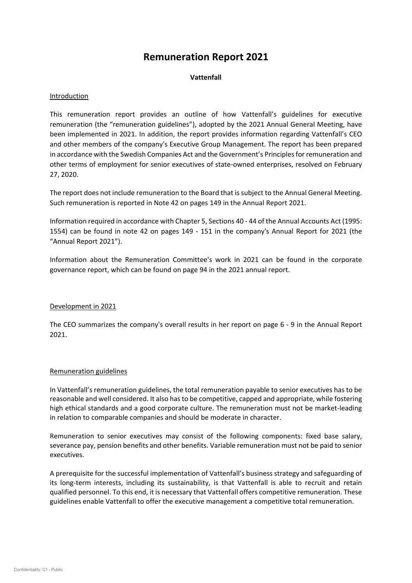# **Remuneration Report 2021**

# **Vattenfall**

# Introduction

This remuneration report provides an outline of how Vattenfall's guidelines for executive remuneration (the "remuneration guidelines"), adopted by the 2021 Annual General Meeting, have been implemented in 2021. In addition, the report provides information regarding Vattenfall's CEO and other members of the company's Executive Group Management. The report has been prepared in accordance with the Swedish Companies Act and the Government's Principles for remuneration and other terms of employment for senior executives of state-owned enterprises, resolved on February 27, 2020.

The report does not include remuneration to the Board that is subject to the Annual General Meeting. Such remuneration is reported in Note 42 on pages 149 in the Annual Report 2021.

Information required in accordance with Chapter 5, Sections 40 - 44 of the Annual Accounts Act (1995: 1554) can be found in note 42 on pages 149 - 151 in the company's Annual Report for 2021 (the "Annual Report 2021").

Information about the Remuneration Committee's work in 2021 can be found in the corporate governance report, which can be found on page 94 in the 2021 annual report.

## Development in 2021

The CEO summarizes the company's overall results in her report on page 6 - 9 in the Annual Report 2021.

## Remuneration guidelines

In Vattenfall's remuneration guidelines, the total remuneration payable to senior executives has to be reasonable and well considered. It also has to be competitive, capped and appropriate, while fostering high ethical standards and a good corporate culture. The remuneration must not be market-leading in relation to comparable companies and should be moderate in character.

Remuneration to senior executives may consist of the following components: fixed base salary, severance pay, pension benefits and other benefits. Variable remuneration must not be paid to senior executives.

A prerequisite for the successful implementation of Vattenfall's business strategy and safeguarding of its long-term interests, including its sustainability, is that Vattenfall is able to recruit and retain qualified personnel. To this end, it is necessary that Vattenfall offers competitive remuneration. These guidelines enable Vattenfall to offer the executive management a competitive total remuneration.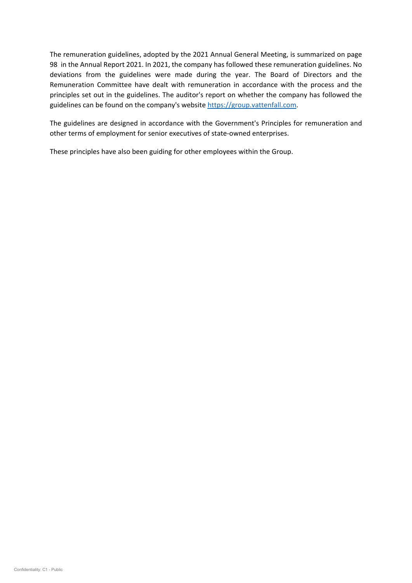The remuneration guidelines, adopted by the 2021 Annual General Meeting, is summarized on page 98 in the Annual Report 2021. In 2021, the company has followed these remuneration guidelines. No deviations from the guidelines were made during the year. The Board of Directors and the Remuneration Committee have dealt with remuneration in accordance with the process and the principles set out in the guidelines. The auditor's report on whether the company has followed the guidelines can be found on the company's website [https://group.vattenfall.com.](https://group.vattenfall.com/)

The guidelines are designed in accordance with the Government's Principles for remuneration and other terms of employment for senior executives of state-owned enterprises.

These principles have also been guiding for other employees within the Group.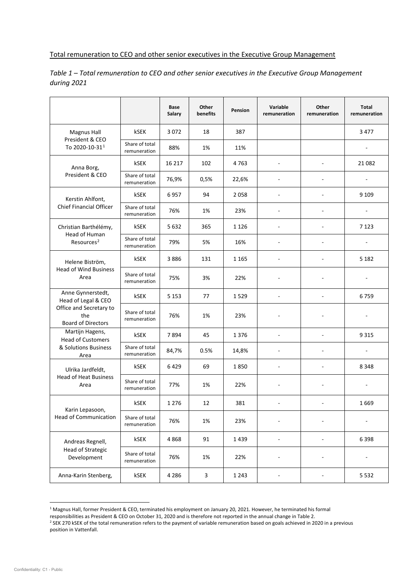#### Total remuneration to CEO and other senior executives in the Executive Group Management

|                                                                                                         |                                | Base<br>Salary | Other<br>benefits         | Pension | Variable<br>remuneration | Other<br>remuneration    | <b>Total</b><br>remuneration |
|---------------------------------------------------------------------------------------------------------|--------------------------------|----------------|---------------------------|---------|--------------------------|--------------------------|------------------------------|
| <b>Magnus Hall</b><br>President & CEO<br>To 2020-10-31 <sup>1</sup>                                     | kSEK                           | 3072           | 18                        | 387     |                          |                          | 3 4 7 7                      |
|                                                                                                         | Share of total<br>remuneration | 88%            | 1%                        | 11%     |                          |                          | ٠                            |
| Anna Borg,<br>President & CEO                                                                           | kSEK                           | 16 217         | 102                       | 4 763   | $\overline{\phantom{a}}$ |                          | 21 082                       |
|                                                                                                         | Share of total<br>remuneration | 76,9%          | 0,5%                      | 22,6%   | $\overline{\phantom{a}}$ |                          |                              |
| Kerstin Ahlfont,                                                                                        | kSEK                           | 6957           | 94                        | 2058    |                          |                          | 9 1 0 9                      |
| <b>Chief Financial Officer</b>                                                                          | Share of total<br>remuneration | 76%            | 1%                        | 23%     |                          |                          |                              |
| Christian Barthélémy,                                                                                   | kSEK                           | 5632           | 365                       | 1 1 2 6 |                          |                          | 7 1 2 3                      |
| <b>Head of Human</b><br>Resources <sup>2</sup>                                                          | Share of total<br>remuneration | 79%            | 5%                        | 16%     |                          |                          |                              |
| Helene Biström,<br><b>Head of Wind Business</b><br>Area                                                 | <b>kSEK</b>                    | 3886           | 131                       | 1 1 6 5 |                          |                          | 5 1 8 2                      |
|                                                                                                         | Share of total<br>remuneration | 75%            | 3%                        | 22%     |                          |                          |                              |
| Anne Gynnerstedt,<br>Head of Legal & CEO<br>Office and Secretary to<br>the<br><b>Board of Directors</b> | kSEK                           | 5 1 5 3        | 77                        | 1529    | $\sim$                   | $\overline{\phantom{a}}$ | 6759                         |
|                                                                                                         | Share of total<br>remuneration | 76%            | 1%                        | 23%     |                          |                          |                              |
| Martijn Hagens,<br><b>Head of Customers</b><br>& Solutions Business<br>Area                             | kSEK                           | 7894           | 45                        | 1376    | $\overline{\phantom{a}}$ |                          | 9 3 1 5                      |
|                                                                                                         | Share of total<br>remuneration | 84,7%          | 0.5%                      | 14,8%   |                          |                          |                              |
| Ulrika Jardfeldt,<br><b>Head of Heat Business</b><br>Area                                               | kSEK                           | 6429           | 69                        | 1850    | $\sim$                   |                          | 8 3 4 8                      |
|                                                                                                         | Share of total<br>remuneration | 77%            | 1%                        | 22%     |                          |                          |                              |
| Karin Lepasoon,<br><b>Head of Communication</b>                                                         | kSEK                           | 1 2 7 6        | 12                        | 381     |                          |                          | 1669                         |
|                                                                                                         | Share of total<br>remuneration | 76%            | 1%                        | 23%     |                          |                          |                              |
| Andreas Regnell,<br><b>Head of Strategic</b><br>Development                                             | kSEK                           | 4868           | 91                        | 1439    | $\frac{1}{2}$            |                          | 6398                         |
|                                                                                                         | Share of total<br>remuneration | 76%            | 1%                        | 22%     |                          |                          |                              |
| Anna-Karin Stenberg,                                                                                    | kSEK                           | 4 2 8 6        | $\ensuremath{\mathsf{3}}$ | 1 2 4 3 | $\overline{\phantom{a}}$ | $\overline{\phantom{a}}$ | 5 5 3 2                      |

*Table 1 – Total remuneration to CEO and other senior executives in the Executive Group Management during 2021*

<span id="page-2-0"></span><sup>&</sup>lt;sup>1</sup> Magnus Hall, former President & CEO, terminated his employment on January 20, 2021. However, he terminated his formal

responsibilities as President & CEO on October 31, 2020 and is therefore not reported in the annual change in Table 2.

<span id="page-2-1"></span><sup>&</sup>lt;sup>2</sup> SEK 270 kSEK of the total remuneration refers to the payment of variable remuneration based on goals achieved in 2020 in a previous position in Vattenfall.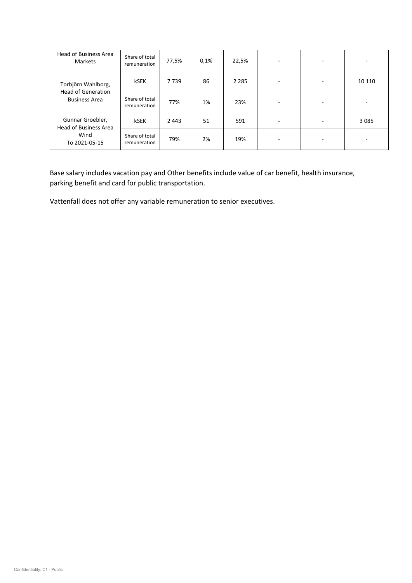| <b>Head of Business Area</b><br><b>Markets</b>                            | Share of total<br>remuneration | 77,5%   | 0,1% | 22,5%   | ۰                        |         |
|---------------------------------------------------------------------------|--------------------------------|---------|------|---------|--------------------------|---------|
| Torbjörn Wahlborg,<br><b>Head of Generation</b><br><b>Business Area</b>   | kSEK                           | 7 7 3 9 | 86   | 2 2 8 5 | ٠                        | 10 110  |
|                                                                           | Share of total<br>remuneration | 77%     | 1%   | 23%     | $\overline{\phantom{a}}$ |         |
| Gunnar Groebler,<br><b>Head of Business Area</b><br>Wind<br>To 2021-05-15 | kSEK                           | 2443    | 51   | 591     | $\sim$                   | 3 0 8 5 |
|                                                                           | Share of total<br>remuneration | 79%     | 2%   | 19%     | ۰                        |         |

Base salary includes vacation pay and Other benefits include value of car benefit, health insurance, parking benefit and card for public transportation.

Vattenfall does not offer any variable remuneration to senior executives.